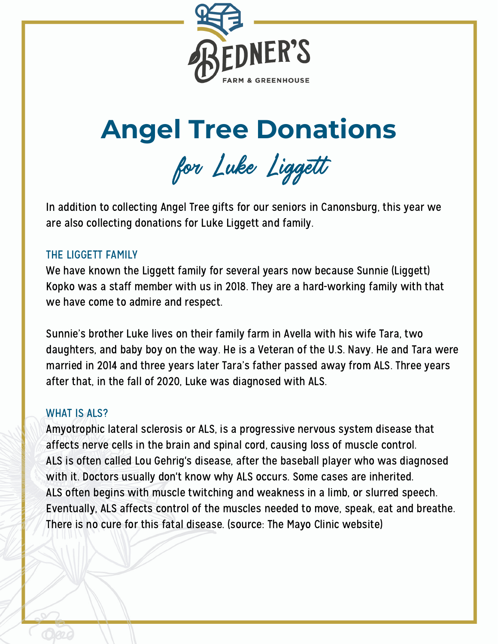

# **Angel Tree Donations**

for Luke Ligget

In addition to collecting Angel Tree gifts for our seniors in Canonsburg, this year we are also collecting donations for Luke Liggett and family.

# THE LIGGETT FAMILY

We have known the Liggett family for several years now because Sunnie (Liggett) Kopko was a staff member with us in 2018. They are a hard-working family with that we have come to admire and respect.

Sunnie's brother Luke lives on their family farm in Avella with his wife Tara, two daughters, and baby boy on the way. He is a Veteran of the U.S. Navy. He and Tara were married in 2014 and three years later Tara's father passed away from ALS. Three years after that, in the fall of 2020, Luke was diagnosed with ALS.

# WHAT IS ALS?

Amyotrophic lateral sclerosis or ALS, is a progressive nervous system disease that affects nerve cells in the brain and spinal cord, causing loss of muscle control. ALS is often called Lou Gehrig's disease, after the baseball player who was diagnosed with it. Doctors usually don't know why ALS occurs. Some cases are inherited. ALS often begins with muscle twitching and weakness in a limb, or slurred speech. Eventually, ALS affects control of the muscles needed to move, speak, eat and breathe. There is no cure for this fatal disease. (source: The Mayo Clinic website)